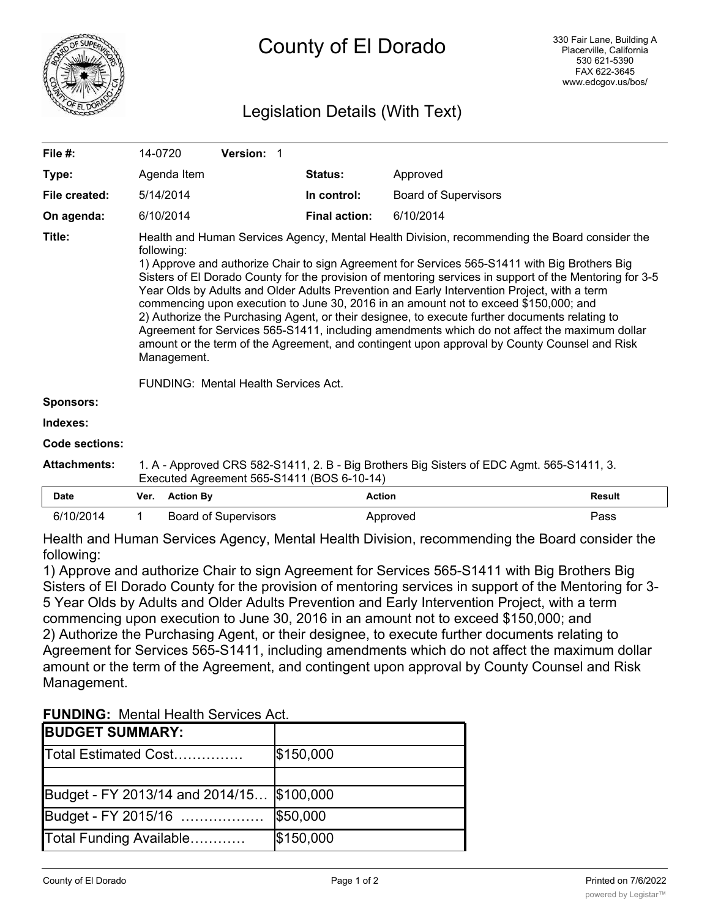

# Legislation Details (With Text)

| File $#$ :            | 14-0720                                                                                                                                                                                                                                                                                                                                                                                                                                                                                                                                                                                                                                                                                                                                                                                                                                                                  | <b>Version: 1</b> |                      |                             |  |
|-----------------------|--------------------------------------------------------------------------------------------------------------------------------------------------------------------------------------------------------------------------------------------------------------------------------------------------------------------------------------------------------------------------------------------------------------------------------------------------------------------------------------------------------------------------------------------------------------------------------------------------------------------------------------------------------------------------------------------------------------------------------------------------------------------------------------------------------------------------------------------------------------------------|-------------------|----------------------|-----------------------------|--|
| Type:                 | Agenda Item                                                                                                                                                                                                                                                                                                                                                                                                                                                                                                                                                                                                                                                                                                                                                                                                                                                              |                   | <b>Status:</b>       | Approved                    |  |
| File created:         | 5/14/2014                                                                                                                                                                                                                                                                                                                                                                                                                                                                                                                                                                                                                                                                                                                                                                                                                                                                |                   | In control:          | <b>Board of Supervisors</b> |  |
| On agenda:            | 6/10/2014                                                                                                                                                                                                                                                                                                                                                                                                                                                                                                                                                                                                                                                                                                                                                                                                                                                                |                   | <b>Final action:</b> | 6/10/2014                   |  |
| Title:                | Health and Human Services Agency, Mental Health Division, recommending the Board consider the<br>following:<br>1) Approve and authorize Chair to sign Agreement for Services 565-S1411 with Big Brothers Big<br>Sisters of El Dorado County for the provision of mentoring services in support of the Mentoring for 3-5<br>Year Olds by Adults and Older Adults Prevention and Early Intervention Project, with a term<br>commencing upon execution to June 30, 2016 in an amount not to exceed \$150,000; and<br>2) Authorize the Purchasing Agent, or their designee, to execute further documents relating to<br>Agreement for Services 565-S1411, including amendments which do not affect the maximum dollar<br>amount or the term of the Agreement, and contingent upon approval by County Counsel and Risk<br>Management.<br>FUNDING: Mental Health Services Act. |                   |                      |                             |  |
| <b>Sponsors:</b>      |                                                                                                                                                                                                                                                                                                                                                                                                                                                                                                                                                                                                                                                                                                                                                                                                                                                                          |                   |                      |                             |  |
| Indexes:              |                                                                                                                                                                                                                                                                                                                                                                                                                                                                                                                                                                                                                                                                                                                                                                                                                                                                          |                   |                      |                             |  |
| <b>Code sections:</b> |                                                                                                                                                                                                                                                                                                                                                                                                                                                                                                                                                                                                                                                                                                                                                                                                                                                                          |                   |                      |                             |  |
| <b>Attachments:</b>   | A - Approved CRS 582-S1411 2 B - Big Brothers Big Sisters of EDC Agmt 565-S1411 3                                                                                                                                                                                                                                                                                                                                                                                                                                                                                                                                                                                                                                                                                                                                                                                        |                   |                      |                             |  |

**Attachments:** 1. A - Approved CRS 582-S1411, 2. B - Big Brothers Big Sisters of EDC Agmt. 565-S1411, 3. Executed Agreement 565-S1411 (BOS 6-10-14)

| Date      | Ver. | <b>Action By</b>     | Action   | Result |
|-----------|------|----------------------|----------|--------|
| 6/10/2014 |      | Board of Supervisors | Approved | ⊃ass   |

Health and Human Services Agency, Mental Health Division, recommending the Board consider the following:

1) Approve and authorize Chair to sign Agreement for Services 565-S1411 with Big Brothers Big Sisters of El Dorado County for the provision of mentoring services in support of the Mentoring for 3- 5 Year Olds by Adults and Older Adults Prevention and Early Intervention Project, with a term commencing upon execution to June 30, 2016 in an amount not to exceed \$150,000; and 2) Authorize the Purchasing Agent, or their designee, to execute further documents relating to Agreement for Services 565-S1411, including amendments which do not affect the maximum dollar amount or the term of the Agreement, and contingent upon approval by County Counsel and Risk Management.

**FUNDING:** Mental Health Services Act.

| <b>BUDGET SUMMARY:</b>                    |           |
|-------------------------------------------|-----------|
| Total Estimated Cost                      | \$150,000 |
|                                           |           |
| Budget - FY 2013/14 and 2014/15 \$100,000 |           |
| Budget - FY 2015/16                       | \$50,000  |
| Total Funding Available                   | \$150,000 |